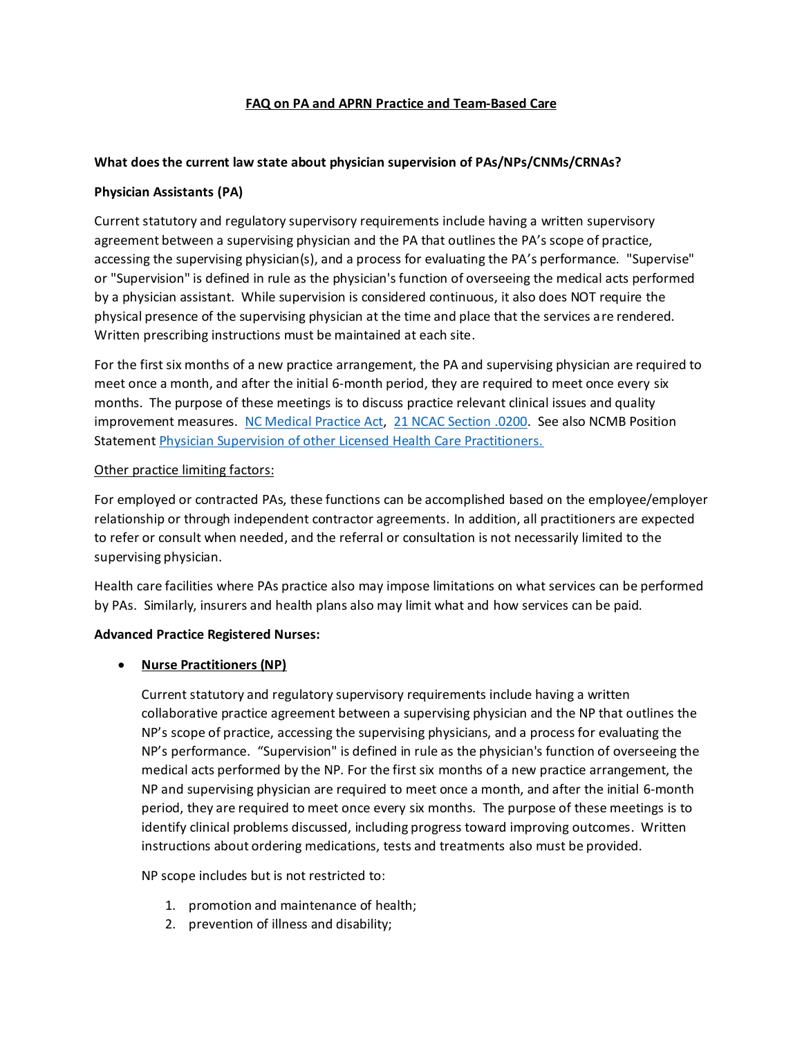### **FAQ on PA and APRN Practice and Team-Based Care**

### **What does the current law state about physician supervision of PAs/NPs/CNMs/CRNAs?**

#### **Physician Assistants (PA)**

Current statutory and regulatory supervisory requirements include having a written supervisory agreement between a supervising physician and the PA that outlines the PA's scope of practice, accessing the supervising physician(s), and a process for evaluating the PA's performance. "Supervise" or "Supervision" is defined in rule as the physician's function of overseeing the medical acts performed by a physician assistant. While supervision is considered continuous, it also does NOT require the physical presence of the supervising physician at the time and place that the services are rendered. Written prescribing instructions must be maintained at each site.

For the first six months of a new practice arrangement, the PA and supervising physician are required to meet once a month, and after the initial 6-month period, they are required to meet once every six months. The purpose of these meetings is to discuss practice relevant clinical issues and quality improvement measures. [NC Medical Practice Act,](https://www.ncleg.gov/EnactedLegislation/Statutes/HTML/ByChapter/Chapter_90.html) [21 NCAC Section .0200.](http://reports.oah.state.nc.us/ncac/title%2021%20-%20occupational%20licensing%20boards%20and%20commissions/chapter%2032%20-%20north%20carolina%20medical%20board/subchapter%20s/subchapter%20s%20rules.html) See also NCMB Position Statemen[t Physician Supervision of other Licensed Health Care Practitioners.](https://www.ncmedboard.org/resources-information/professional-resources/laws-rules-position-statements/position-statements/physician_supervision_of_other_licensed_health_care_practitioners) 

#### Other practice limiting factors:

For employed or contracted PAs, these functions can be accomplished based on the employee/employer relationship or through independent contractor agreements. In addition, all practitioners are expected to refer or consult when needed, and the referral or consultation is not necessarily limited to the supervising physician.

Health care facilities where PAs practice also may impose limitations on what services can be performed by PAs. Similarly, insurers and health plans also may limit what and how services can be paid.

# **Advanced Practice Registered Nurses:**

#### • **Nurse Practitioners (NP)**

Current statutory and regulatory supervisory requirements include having a written collaborative practice agreement between a supervising physician and the NP that outlines the NP's scope of practice, accessing the supervising physicians, and a process for evaluating the NP's performance. "Supervision" is defined in rule as the physician's function of overseeing the medical acts performed by the NP. For the first six months of a new practice arrangement, the NP and supervising physician are required to meet once a month, and after the initial 6-month period, they are required to meet once every six months. The purpose of these meetings is to identify clinical problems discussed, including progress toward improving outcomes. Written instructions about ordering medications, tests and treatments also must be provided.

NP scope includes but is not restricted to:

- 1. promotion and maintenance of health;
- 2. prevention of illness and disability;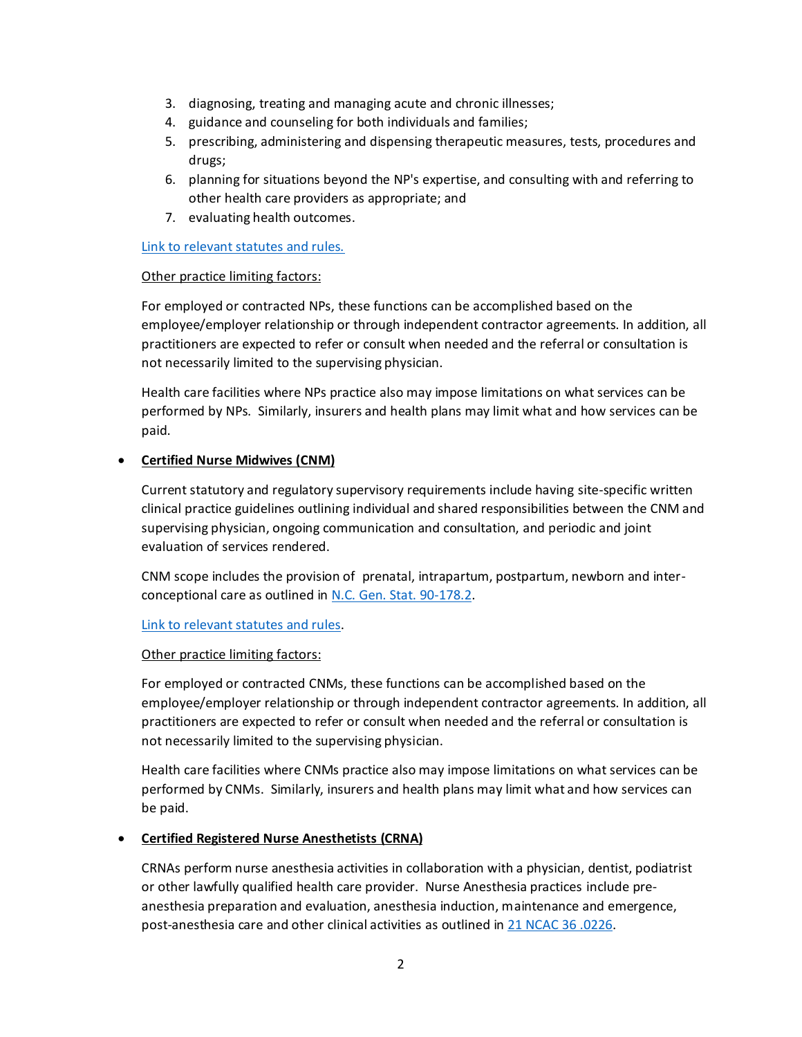- 3. diagnosing, treating and managing acute and chronic illnesses;
- 4. guidance and counseling for both individuals and families;
- 5. prescribing, administering and dispensing therapeutic measures, tests, procedures and drugs;
- 6. planning for situations beyond the NP's expertise, and consulting with and referring to other health care providers as appropriate; and
- 7. evaluating health outcomes.

### [Link to relevant statutes and rules.](https://www.ncbon.com/practice-nurse-practitioner-nurse-practitioner-laws-rules)

### Other practice limiting factors:

For employed or contracted NPs, these functions can be accomplished based on the employee/employer relationship or through independent contractor agreements. In addition, all practitioners are expected to refer or consult when needed and the referral or consultation is not necessarily limited to the supervising physician.

Health care facilities where NPs practice also may impose limitations on what services can be performed by NPs. Similarly, insurers and health plans may limit what and how services can be paid.

# • **Certified Nurse Midwives (CNM)**

Current statutory and regulatory supervisory requirements include having site-specific written clinical practice guidelines outlining individual and shared responsibilities between the CNM and supervising physician, ongoing communication and consultation, and periodic and joint evaluation of services rendered.

CNM scope includes the provision of prenatal, intrapartum, postpartum, newborn and interconceptional care as outlined i[n N.C. Gen. Stat. 90-178.2.](https://www.ncleg.net/EnactedLegislation/Statutes/html/BySection/Chapter_90/GS_90-178.2.html)

# [Link to relevant statutes and rules.](https://www.ncbon.com/practice-certified-nurse-midwife)

# Other practice limiting factors:

For employed or contracted CNMs, these functions can be accomplished based on the employee/employer relationship or through independent contractor agreements. In addition, all practitioners are expected to refer or consult when needed and the referral or consultation is not necessarily limited to the supervising physician.

Health care facilities where CNMs practice also may impose limitations on what services can be performed by CNMs. Similarly, insurers and health plans may limit what and how services can be paid.

# • **Certified Registered Nurse Anesthetists (CRNA)**

CRNAs perform nurse anesthesia activities in collaboration with a physician, dentist, podiatrist or other lawfully qualified health care provider. Nurse Anesthesia practices include preanesthesia preparation and evaluation, anesthesia induction, maintenance and emergence, post-anesthesia care and other clinical activities as outlined in [21 NCAC 36 .0226.](http://reports.oah.state.nc.us/ncac/title%2021%20-%20occupational%20licensing%20boards%20and%20commissions/chapter%2036%20-%20nursing/21%20ncac%2036%20.0226.html)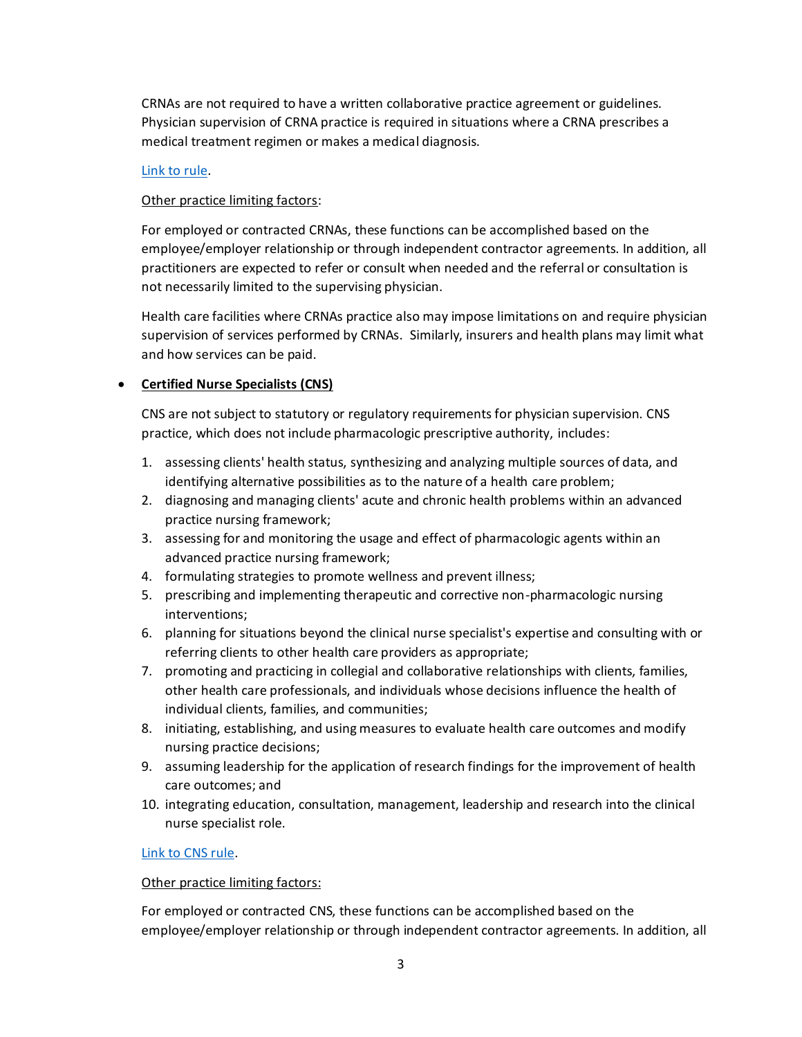CRNAs are not required to have a written collaborative practice agreement or guidelines. Physician supervision of CRNA practice is required in situations where a CRNA prescribes a medical treatment regimen or makes a medical diagnosis.

#### [Link to rule.](http://reports.oah.state.nc.us/ncac/title%2021%20-%20occupational%20licensing%20boards%20and%20commissions/chapter%2036%20-%20nursing/21%20ncac%2036%20.0226.html)

#### Other practice limiting factors:

For employed or contracted CRNAs, these functions can be accomplished based on the employee/employer relationship or through independent contractor agreements. In addition, all practitioners are expected to refer or consult when needed and the referral or consultation is not necessarily limited to the supervising physician.

Health care facilities where CRNAs practice also may impose limitations on and require physician supervision of services performed by CRNAs. Similarly, insurers and health plans may limit what and how services can be paid.

### • **Certified Nurse Specialists (CNS)**

CNS are not subject to statutory or regulatory requirements for physician supervision. CNS practice, which does not include pharmacologic prescriptive authority, includes:

- 1. assessing clients' health status, synthesizing and analyzing multiple sources of data, and identifying alternative possibilities as to the nature of a health care problem;
- 2. diagnosing and managing clients' acute and chronic health problems within an advanced practice nursing framework;
- 3. assessing for and monitoring the usage and effect of pharmacologic agents within an advanced practice nursing framework;
- 4. formulating strategies to promote wellness and prevent illness;
- 5. prescribing and implementing therapeutic and corrective non-pharmacologic nursing interventions;
- 6. planning for situations beyond the clinical nurse specialist's expertise and consulting with or referring clients to other health care providers as appropriate;
- 7. promoting and practicing in collegial and collaborative relationships with clients, families, other health care professionals, and individuals whose decisions influence the health of individual clients, families, and communities;
- 8. initiating, establishing, and using measures to evaluate health care outcomes and modify nursing practice decisions;
- 9. assuming leadership for the application of research findings for the improvement of health care outcomes; and
- 10. integrating education, consultation, management, leadership and research into the clinical nurse specialist role.

#### [Link to CNS rule.](http://reports.oah.state.nc.us/ncac/title%2021%20-%20occupational%20licensing%20boards%20and%20commissions/chapter%2036%20-%20nursing/21%20ncac%2036%20.0228.html)

#### Other practice limiting factors:

For employed or contracted CNS, these functions can be accomplished based on the employee/employer relationship or through independent contractor agreements. In addition, all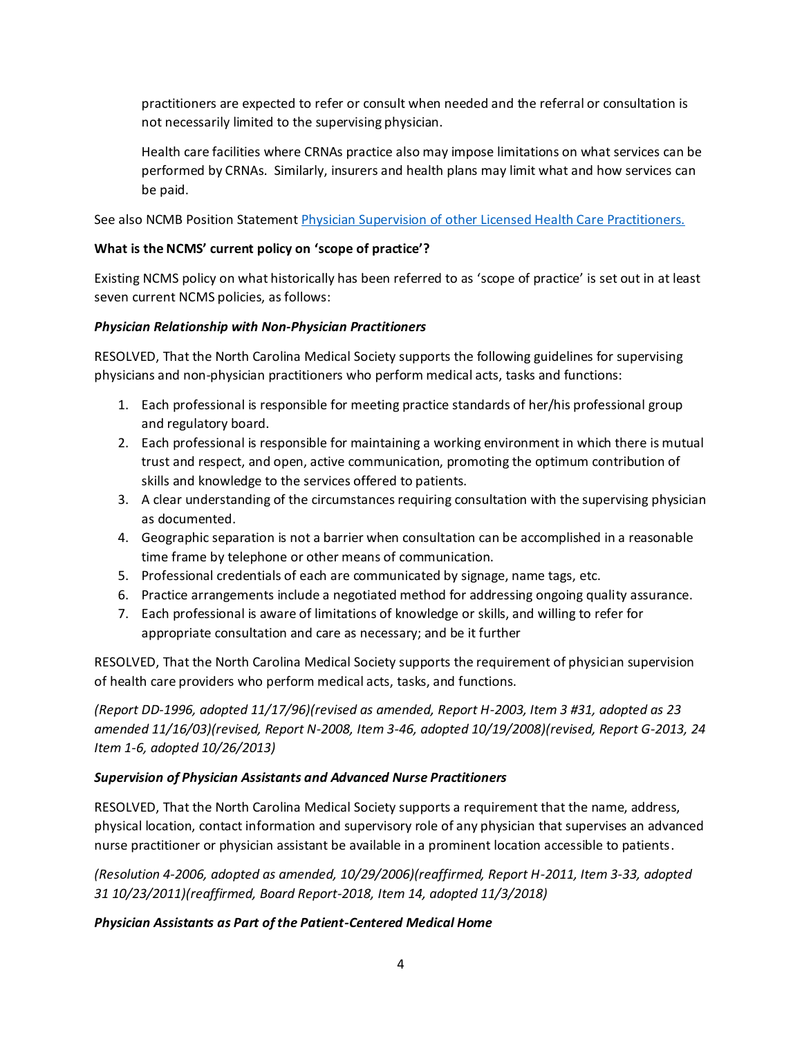practitioners are expected to refer or consult when needed and the referral or consultation is not necessarily limited to the supervising physician.

Health care facilities where CRNAs practice also may impose limitations on what services can be performed by CRNAs. Similarly, insurers and health plans may limit what and how services can be paid.

See also NCMB Position Statemen[t Physician Supervision of other Licensed Health Care Practitioners.](https://www.ncmedboard.org/resources-information/professional-resources/laws-rules-position-statements/position-statements/physician_supervision_of_other_licensed_health_care_practitioners) 

# **What is the NCMS' current policy on 'scope of practice'?**

Existing NCMS policy on what historically has been referred to as 'scope of practice' is set out in at least seven current NCMS policies, as follows:

### *Physician Relationship with Non-Physician Practitioners*

RESOLVED, That the North Carolina Medical Society supports the following guidelines for supervising physicians and non-physician practitioners who perform medical acts, tasks and functions:

- 1. Each professional is responsible for meeting practice standards of her/his professional group and regulatory board.
- 2. Each professional is responsible for maintaining a working environment in which there is mutual trust and respect, and open, active communication, promoting the optimum contribution of skills and knowledge to the services offered to patients.
- 3. A clear understanding of the circumstances requiring consultation with the supervising physician as documented.
- 4. Geographic separation is not a barrier when consultation can be accomplished in a reasonable time frame by telephone or other means of communication.
- 5. Professional credentials of each are communicated by signage, name tags, etc.
- 6. Practice arrangements include a negotiated method for addressing ongoing quality assurance.
- 7. Each professional is aware of limitations of knowledge or skills, and willing to refer for appropriate consultation and care as necessary; and be it further

RESOLVED, That the North Carolina Medical Society supports the requirement of physician supervision of health care providers who perform medical acts, tasks, and functions.

*(Report DD-1996, adopted 11/17/96)(revised as amended, Report H-2003, Item 3 #31, adopted as 23 amended 11/16/03)(revised, Report N-2008, Item 3-46, adopted 10/19/2008)(revised, Report G-2013, 24 Item 1-6, adopted 10/26/2013)* 

# *Supervision of Physician Assistants and Advanced Nurse Practitioners*

RESOLVED, That the North Carolina Medical Society supports a requirement that the name, address, physical location, contact information and supervisory role of any physician that supervises an advanced nurse practitioner or physician assistant be available in a prominent location accessible to patients.

*(Resolution 4-2006, adopted as amended, 10/29/2006)(reaffirmed, Report H-2011, Item 3-33, adopted 31 10/23/2011)(reaffirmed, Board Report-2018, Item 14, adopted 11/3/2018)*

# *Physician Assistants as Part of the Patient-Centered Medical Home*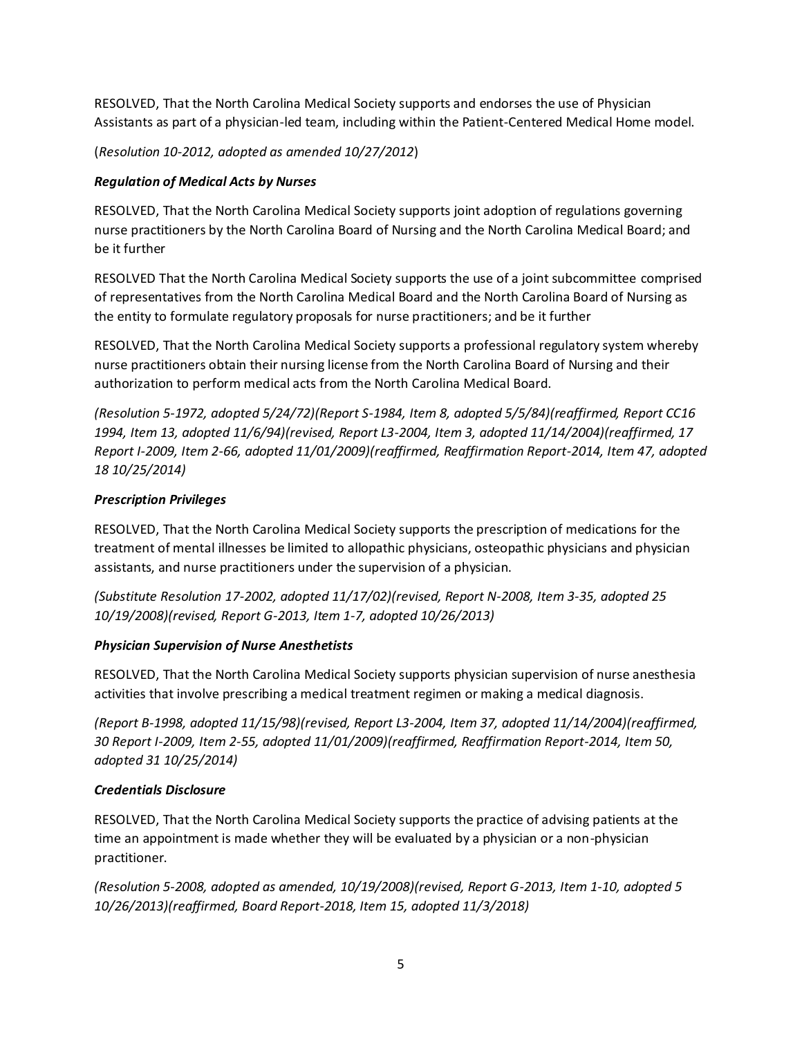RESOLVED, That the North Carolina Medical Society supports and endorses the use of Physician Assistants as part of a physician-led team, including within the Patient-Centered Medical Home model.

(*Resolution 10-2012, adopted as amended 10/27/2012*)

# *Regulation of Medical Acts by Nurses*

RESOLVED, That the North Carolina Medical Society supports joint adoption of regulations governing nurse practitioners by the North Carolina Board of Nursing and the North Carolina Medical Board; and be it further

RESOLVED That the North Carolina Medical Society supports the use of a joint subcommittee comprised of representatives from the North Carolina Medical Board and the North Carolina Board of Nursing as the entity to formulate regulatory proposals for nurse practitioners; and be it further

RESOLVED, That the North Carolina Medical Society supports a professional regulatory system whereby nurse practitioners obtain their nursing license from the North Carolina Board of Nursing and their authorization to perform medical acts from the North Carolina Medical Board.

*(Resolution 5-1972, adopted 5/24/72)(Report S-1984, Item 8, adopted 5/5/84)(reaffirmed, Report CC16 1994, Item 13, adopted 11/6/94)(revised, Report L3-2004, Item 3, adopted 11/14/2004)(reaffirmed, 17 Report I-2009, Item 2-66, adopted 11/01/2009)(reaffirmed, Reaffirmation Report-2014, Item 47, adopted 18 10/25/2014)* 

# *Prescription Privileges*

RESOLVED, That the North Carolina Medical Society supports the prescription of medications for the treatment of mental illnesses be limited to allopathic physicians, osteopathic physicians and physician assistants, and nurse practitioners under the supervision of a physician.

*(Substitute Resolution 17-2002, adopted 11/17/02)(revised, Report N-2008, Item 3-35, adopted 25 10/19/2008)(revised, Report G-2013, Item 1-7, adopted 10/26/2013)* 

# *Physician Supervision of Nurse Anesthetists*

RESOLVED, That the North Carolina Medical Society supports physician supervision of nurse anesthesia activities that involve prescribing a medical treatment regimen or making a medical diagnosis.

*(Report B-1998, adopted 11/15/98)(revised, Report L3-2004, Item 37, adopted 11/14/2004)(reaffirmed, 30 Report I-2009, Item 2-55, adopted 11/01/2009)(reaffirmed, Reaffirmation Report-2014, Item 50, adopted 31 10/25/2014)* 

# *Credentials Disclosure*

RESOLVED, That the North Carolina Medical Society supports the practice of advising patients at the time an appointment is made whether they will be evaluated by a physician or a non-physician practitioner.

*(Resolution 5-2008, adopted as amended, 10/19/2008)(revised, Report G-2013, Item 1-10, adopted 5 10/26/2013)(reaffirmed, Board Report-2018, Item 15, adopted 11/3/2018)*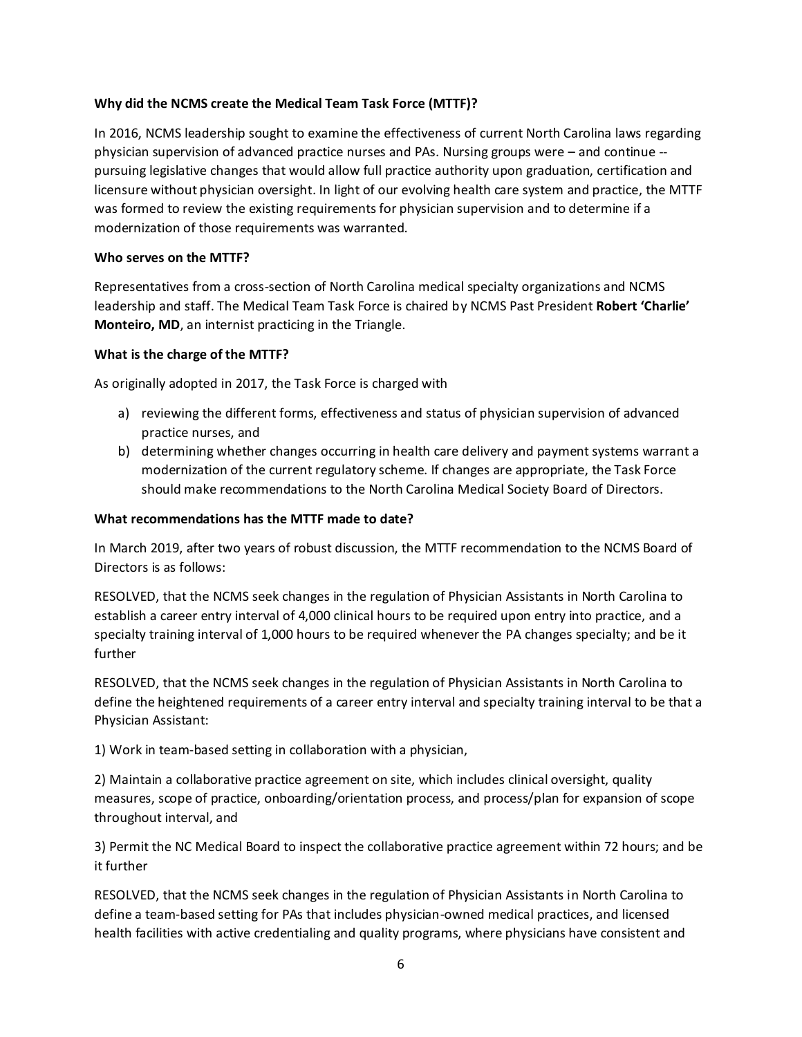### **Why did the NCMS create the Medical Team Task Force (MTTF)?**

In 2016, NCMS leadership sought to examine the effectiveness of current North Carolina laws regarding physician supervision of advanced practice nurses and PAs. Nursing groups were – and continue - pursuing legislative changes that would allow full practice authority upon graduation, certification and licensure without physician oversight. In light of our evolving health care system and practice, the MTTF was formed to review the existing requirements for physician supervision and to determine if a modernization of those requirements was warranted.

### **Who serves on the MTTF?**

Representatives from a cross-section of North Carolina medical specialty organizations and NCMS leadership and staff. The Medical Team Task Force is chaired by NCMS Past President **Robert 'Charlie' Monteiro, MD**, an internist practicing in the Triangle.

#### **What is the charge of the MTTF?**

As originally adopted in 2017, the Task Force is charged with

- a) reviewing the different forms, effectiveness and status of physician supervision of advanced practice nurses, and
- b) determining whether changes occurring in health care delivery and payment systems warrant a modernization of the current regulatory scheme. If changes are appropriate, the Task Force should make recommendations to the North Carolina Medical Society Board of Directors.

#### **What recommendations has the MTTF made to date?**

In March 2019, after two years of robust discussion, the MTTF recommendation to the NCMS Board of Directors is as follows:

RESOLVED, that the NCMS seek changes in the regulation of Physician Assistants in North Carolina to establish a career entry interval of 4,000 clinical hours to be required upon entry into practice, and a specialty training interval of 1,000 hours to be required whenever the PA changes specialty; and be it further

RESOLVED, that the NCMS seek changes in the regulation of Physician Assistants in North Carolina to define the heightened requirements of a career entry interval and specialty training interval to be that a Physician Assistant:

1) Work in team-based setting in collaboration with a physician,

2) Maintain a collaborative practice agreement on site, which includes clinical oversight, quality measures, scope of practice, onboarding/orientation process, and process/plan for expansion of scope throughout interval, and

3) Permit the NC Medical Board to inspect the collaborative practice agreement within 72 hours; and be it further

RESOLVED, that the NCMS seek changes in the regulation of Physician Assistants in North Carolina to define a team-based setting for PAs that includes physician-owned medical practices, and licensed health facilities with active credentialing and quality programs, where physicians have consistent and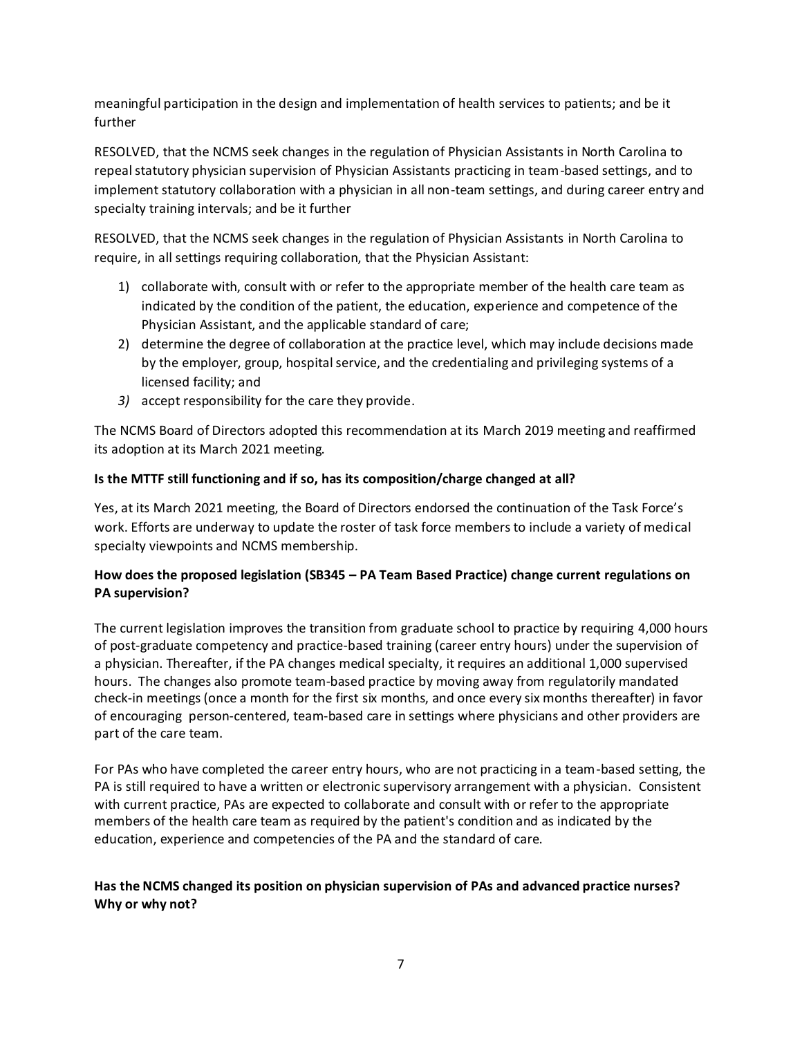meaningful participation in the design and implementation of health services to patients; and be it further

RESOLVED, that the NCMS seek changes in the regulation of Physician Assistants in North Carolina to repeal statutory physician supervision of Physician Assistants practicing in team-based settings, and to implement statutory collaboration with a physician in all non-team settings, and during career entry and specialty training intervals; and be it further

RESOLVED, that the NCMS seek changes in the regulation of Physician Assistants in North Carolina to require, in all settings requiring collaboration, that the Physician Assistant:

- 1) collaborate with, consult with or refer to the appropriate member of the health care team as indicated by the condition of the patient, the education, experience and competence of the Physician Assistant, and the applicable standard of care;
- 2) determine the degree of collaboration at the practice level, which may include decisions made by the employer, group, hospital service, and the credentialing and privileging systems of a licensed facility; and
- *3)* accept responsibility for the care they provide.

The NCMS Board of Directors adopted this recommendation at its March 2019 meeting and reaffirmed its adoption at its March 2021 meeting.

# **Is the MTTF still functioning and if so, has its composition/charge changed at all?**

Yes, at its March 2021 meeting, the Board of Directors endorsed the continuation of the Task Force's work. Efforts are underway to update the roster of task force members to include a variety of medical specialty viewpoints and NCMS membership.

# **How does the proposed legislation (SB345 – PA Team Based Practice) change current regulations on PA supervision?**

The current legislation improves the transition from graduate school to practice by requiring 4,000 hours of post-graduate competency and practice-based training (career entry hours) under the supervision of a physician. Thereafter, if the PA changes medical specialty, it requires an additional 1,000 supervised hours. The changes also promote team-based practice by moving away from regulatorily mandated check-in meetings (once a month for the first six months, and once every six months thereafter) in favor of encouraging person-centered, team-based care in settings where physicians and other providers are part of the care team.

For PAs who have completed the career entry hours, who are not practicing in a team-based setting, the PA is still required to have a written or electronic supervisory arrangement with a physician. Consistent with current practice, PAs are expected to collaborate and consult with or refer to the appropriate members of the health care team as required by the patient's condition and as indicated by the education, experience and competencies of the PA and the standard of care.

# **Has the NCMS changed its position on physician supervision of PAs and advanced practice nurses? Why or why not?**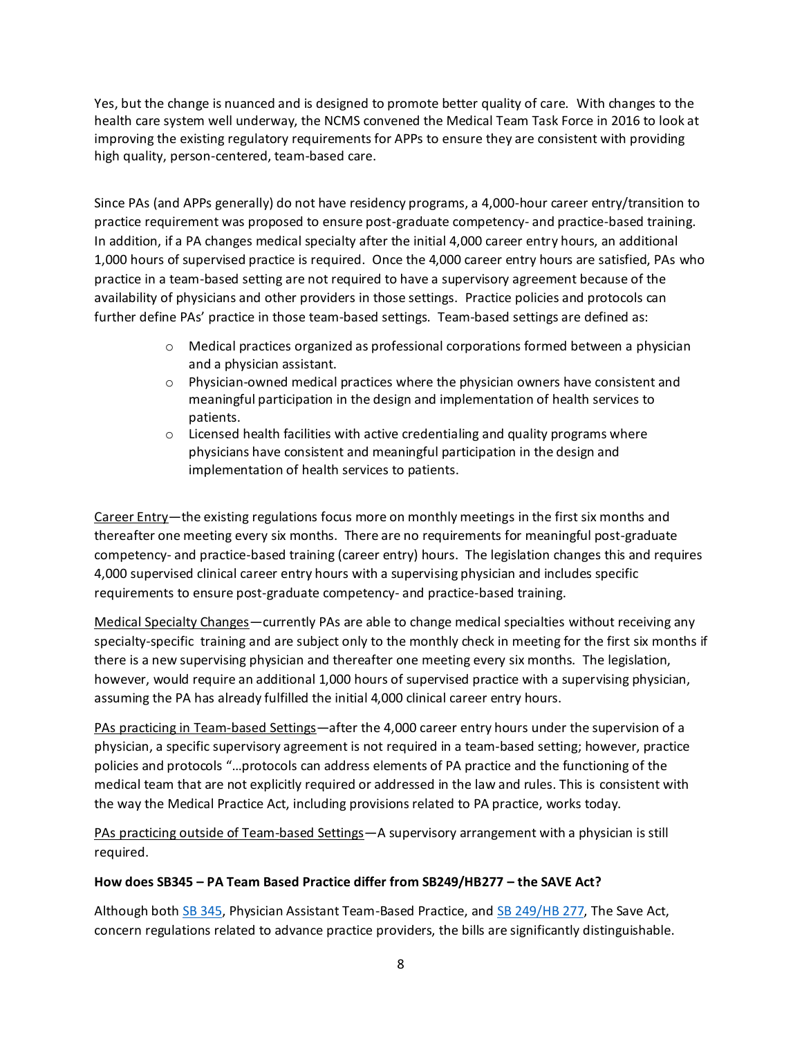Yes, but the change is nuanced and is designed to promote better quality of care. With changes to the health care system well underway, the NCMS convened the Medical Team Task Force in 2016 to look at improving the existing regulatory requirements for APPs to ensure they are consistent with providing high quality, person-centered, team-based care.

Since PAs (and APPs generally) do not have residency programs, a 4,000-hour career entry/transition to practice requirement was proposed to ensure post-graduate competency- and practice-based training. In addition, if a PA changes medical specialty after the initial 4,000 career entry hours, an additional 1,000 hours of supervised practice is required. Once the 4,000 career entry hours are satisfied, PAs who practice in a team-based setting are not required to have a supervisory agreement because of the availability of physicians and other providers in those settings. Practice policies and protocols can further define PAs' practice in those team-based settings. Team-based settings are defined as:

- $\circ$  Medical practices organized as professional corporations formed between a physician and a physician assistant.
- o Physician-owned medical practices where the physician owners have consistent and meaningful participation in the design and implementation of health services to patients.
- $\circ$  Licensed health facilities with active credentialing and quality programs where physicians have consistent and meaningful participation in the design and implementation of health services to patients.

Career Entry—the existing regulations focus more on monthly meetings in the first six months and thereafter one meeting every six months. There are no requirements for meaningful post-graduate competency- and practice-based training (career entry) hours. The legislation changes this and requires 4,000 supervised clinical career entry hours with a supervising physician and includes specific requirements to ensure post-graduate competency- and practice-based training.

Medical Specialty Changes—currently PAs are able to change medical specialties without receiving any specialty-specific training and are subject only to the monthly check in meeting for the first six months if there is a new supervising physician and thereafter one meeting every six months. The legislation, however, would require an additional 1,000 hours of supervised practice with a supervising physician, assuming the PA has already fulfilled the initial 4,000 clinical career entry hours.

PAs practicing in Team-based Settings—after the 4,000 career entry hours under the supervision of a physician, a specific supervisory agreement is not required in a team-based setting; however, practice policies and protocols "…protocols can address elements of PA practice and the functioning of the medical team that are not explicitly required or addressed in the law and rules. This is consistent with the way the Medical Practice Act, including provisions related to PA practice, works today.

PAs practicing outside of Team-based Settings—A supervisory arrangement with a physician is still required.

# **How does SB345 – PA Team Based Practice differ from SB249/HB277 – the SAVE Act?**

Although both [SB 345,](https://www.ncleg.gov/BillLookUp/2021/SB%20345) Physician Assistant Team-Based Practice, and [SB 249/HB 277,](https://www.ncleg.gov/BillLookUp/2021/SB%20249) The Save Act, concern regulations related to advance practice providers, the bills are significantly distinguishable.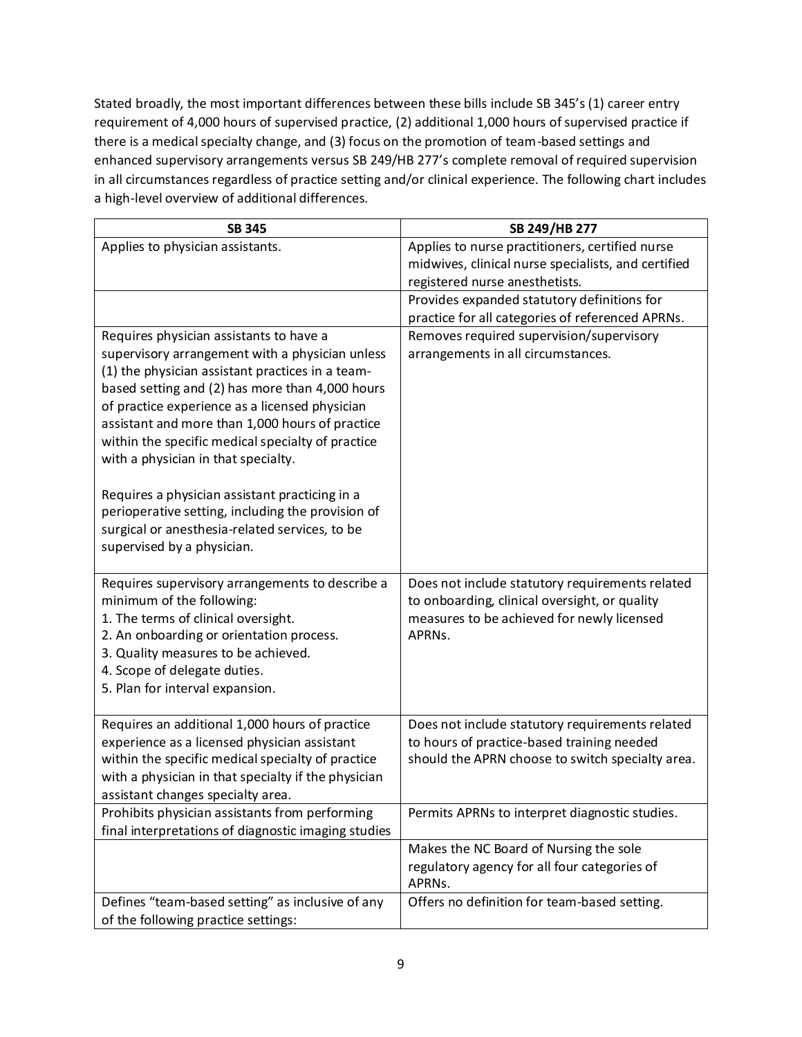Stated broadly, the most important differences between these bills include SB 345's (1) career entry requirement of 4,000 hours of supervised practice, (2) additional 1,000 hours of supervised practice if there is a medical specialty change, and (3) focus on the promotion of team-based settings and enhanced supervisory arrangements versus SB 249/HB 277's complete removal of required supervision in all circumstances regardless of practice setting and/or clinical experience. The following chart includes a high-level overview of additional differences.

| <b>SB 345</b>                                                                                                                                                                                                                                                                                                                                                                                                                                                                                                                                                                             | SB 249/HB 277                                                                                                                                            |
|-------------------------------------------------------------------------------------------------------------------------------------------------------------------------------------------------------------------------------------------------------------------------------------------------------------------------------------------------------------------------------------------------------------------------------------------------------------------------------------------------------------------------------------------------------------------------------------------|----------------------------------------------------------------------------------------------------------------------------------------------------------|
| Applies to physician assistants.                                                                                                                                                                                                                                                                                                                                                                                                                                                                                                                                                          | Applies to nurse practitioners, certified nurse<br>midwives, clinical nurse specialists, and certified<br>registered nurse anesthetists.                 |
|                                                                                                                                                                                                                                                                                                                                                                                                                                                                                                                                                                                           | Provides expanded statutory definitions for<br>practice for all categories of referenced APRNs.                                                          |
| Requires physician assistants to have a<br>supervisory arrangement with a physician unless<br>(1) the physician assistant practices in a team-<br>based setting and (2) has more than 4,000 hours<br>of practice experience as a licensed physician<br>assistant and more than 1,000 hours of practice<br>within the specific medical specialty of practice<br>with a physician in that specialty.<br>Requires a physician assistant practicing in a<br>perioperative setting, including the provision of<br>surgical or anesthesia-related services, to be<br>supervised by a physician. | Removes required supervision/supervisory<br>arrangements in all circumstances.                                                                           |
| Requires supervisory arrangements to describe a<br>minimum of the following:<br>1. The terms of clinical oversight.<br>2. An onboarding or orientation process.<br>3. Quality measures to be achieved.<br>4. Scope of delegate duties.<br>5. Plan for interval expansion.                                                                                                                                                                                                                                                                                                                 | Does not include statutory requirements related<br>to onboarding, clinical oversight, or quality<br>measures to be achieved for newly licensed<br>APRNs. |
| Requires an additional 1,000 hours of practice<br>experience as a licensed physician assistant<br>within the specific medical specialty of practice<br>with a physician in that specialty if the physician<br>assistant changes specialty area.                                                                                                                                                                                                                                                                                                                                           | Does not include statutory requirements related<br>to hours of practice-based training needed<br>should the APRN choose to switch specialty area.        |
| Prohibits physician assistants from performing<br>final interpretations of diagnostic imaging studies                                                                                                                                                                                                                                                                                                                                                                                                                                                                                     | Permits APRNs to interpret diagnostic studies.                                                                                                           |
|                                                                                                                                                                                                                                                                                                                                                                                                                                                                                                                                                                                           | Makes the NC Board of Nursing the sole<br>regulatory agency for all four categories of<br>APRNs.                                                         |
| Defines "team-based setting" as inclusive of any<br>of the following practice settings:                                                                                                                                                                                                                                                                                                                                                                                                                                                                                                   | Offers no definition for team-based setting.                                                                                                             |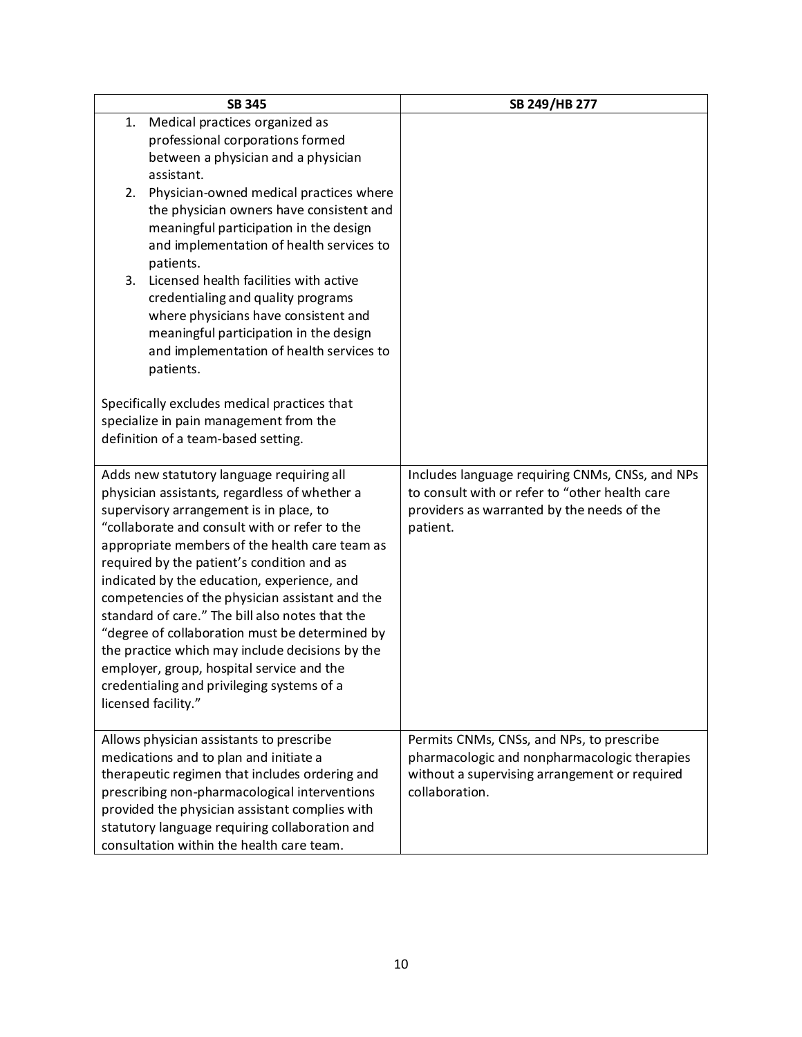|                                                                                                | <b>SB 345</b>                                                              | SB 249/HB 277                                   |
|------------------------------------------------------------------------------------------------|----------------------------------------------------------------------------|-------------------------------------------------|
| 1.                                                                                             | Medical practices organized as                                             |                                                 |
|                                                                                                | professional corporations formed                                           |                                                 |
|                                                                                                | between a physician and a physician                                        |                                                 |
|                                                                                                | assistant.                                                                 |                                                 |
| 2.                                                                                             | Physician-owned medical practices where                                    |                                                 |
|                                                                                                | the physician owners have consistent and                                   |                                                 |
|                                                                                                | meaningful participation in the design                                     |                                                 |
|                                                                                                | and implementation of health services to                                   |                                                 |
|                                                                                                | patients.<br>Licensed health facilities with active                        |                                                 |
| 3.                                                                                             |                                                                            |                                                 |
|                                                                                                | credentialing and quality programs<br>where physicians have consistent and |                                                 |
|                                                                                                | meaningful participation in the design                                     |                                                 |
|                                                                                                | and implementation of health services to                                   |                                                 |
|                                                                                                | patients.                                                                  |                                                 |
|                                                                                                |                                                                            |                                                 |
|                                                                                                | Specifically excludes medical practices that                               |                                                 |
|                                                                                                | specialize in pain management from the                                     |                                                 |
|                                                                                                | definition of a team-based setting.                                        |                                                 |
|                                                                                                |                                                                            |                                                 |
|                                                                                                | Adds new statutory language requiring all                                  | Includes language requiring CNMs, CNSs, and NPs |
| physician assistants, regardless of whether a                                                  |                                                                            | to consult with or refer to "other health care  |
| supervisory arrangement is in place, to                                                        |                                                                            | providers as warranted by the needs of the      |
| "collaborate and consult with or refer to the                                                  |                                                                            | patient.                                        |
| appropriate members of the health care team as                                                 |                                                                            |                                                 |
| required by the patient's condition and as                                                     |                                                                            |                                                 |
| indicated by the education, experience, and<br>competencies of the physician assistant and the |                                                                            |                                                 |
| standard of care." The bill also notes that the                                                |                                                                            |                                                 |
| "degree of collaboration must be determined by                                                 |                                                                            |                                                 |
| the practice which may include decisions by the                                                |                                                                            |                                                 |
| employer, group, hospital service and the                                                      |                                                                            |                                                 |
|                                                                                                | credentialing and privileging systems of a                                 |                                                 |
|                                                                                                | licensed facility."                                                        |                                                 |
|                                                                                                |                                                                            |                                                 |
|                                                                                                | Allows physician assistants to prescribe                                   | Permits CNMs, CNSs, and NPs, to prescribe       |
|                                                                                                | medications and to plan and initiate a                                     | pharmacologic and nonpharmacologic therapies    |
| therapeutic regimen that includes ordering and                                                 |                                                                            | without a supervising arrangement or required   |
| prescribing non-pharmacological interventions                                                  |                                                                            | collaboration.                                  |
|                                                                                                | provided the physician assistant complies with                             |                                                 |
|                                                                                                | statutory language requiring collaboration and                             |                                                 |
|                                                                                                | consultation within the health care team.                                  |                                                 |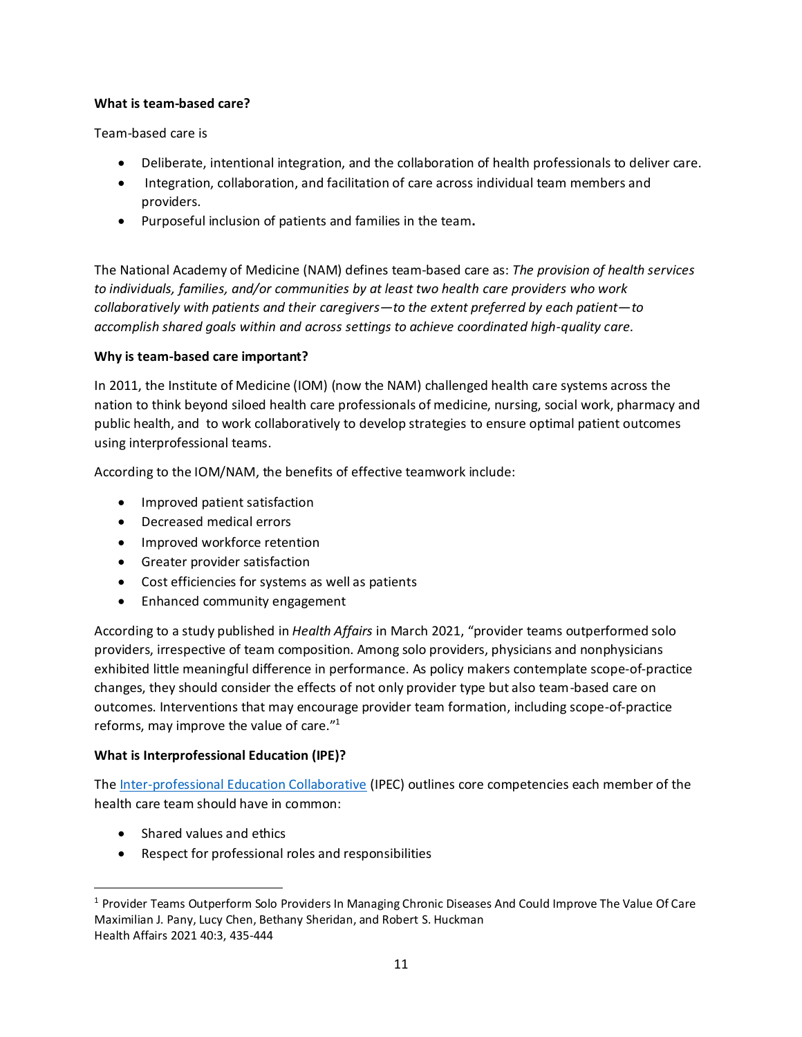#### **What is team-based care?**

Team-based care is

- Deliberate, intentional integration, and the collaboration of health professionals to deliver care.
- Integration, collaboration, and facilitation of care across individual team members and providers.
- Purposeful inclusion of patients and families in the team**.**

The National Academy of Medicine (NAM) defines team-based care as: *The provision of health services to individuals, families, and/or communities by at least two health care providers who work collaboratively with patients and their caregivers—to the extent preferred by each patient—to accomplish shared goals within and across settings to achieve coordinated high-quality care.*

### **Why is team-based care important?**

In 2011, the Institute of Medicine (IOM) (now the NAM) challenged health care systems across the nation to think beyond siloed health care professionals of medicine, nursing, social work, pharmacy and public health, and to work collaboratively to develop strategies to ensure optimal patient outcomes using interprofessional teams.

According to the IOM/NAM, the benefits of effective teamwork include:

- Improved patient satisfaction
- Decreased medical errors
- Improved workforce retention
- Greater provider satisfaction
- Cost efficiencies for systems as well as patients
- Enhanced community engagement

According to a study published in *Health Affairs* in March 2021, "provider teams outperformed solo providers, irrespective of team composition. Among solo providers, physicians and nonphysicians exhibited little meaningful difference in performance. As policy makers contemplate scope-of-practice changes, they should consider the effects of not only provider type but also team-based care on outcomes. Interventions that may encourage provider team formation, including scope-of-practice reforms, may improve the value of care."<sup>1</sup>

# **What is Interprofessional Education (IPE)?**

Th[e Inter-professional Education Collaborative](https://www.ipecollaborative.org/) (IPEC) outlines core competencies each member of the health care team should have in common:

- Shared values and ethics
- Respect for professional roles and responsibilities

<sup>1</sup> Provider Teams Outperform Solo Providers In Managing Chronic Diseases And Could Improve The Value Of Care Maximilian J. Pany, Lucy Chen, Bethany Sheridan, and Robert S. Huckman Health Affairs 2021 40:3, 435-444